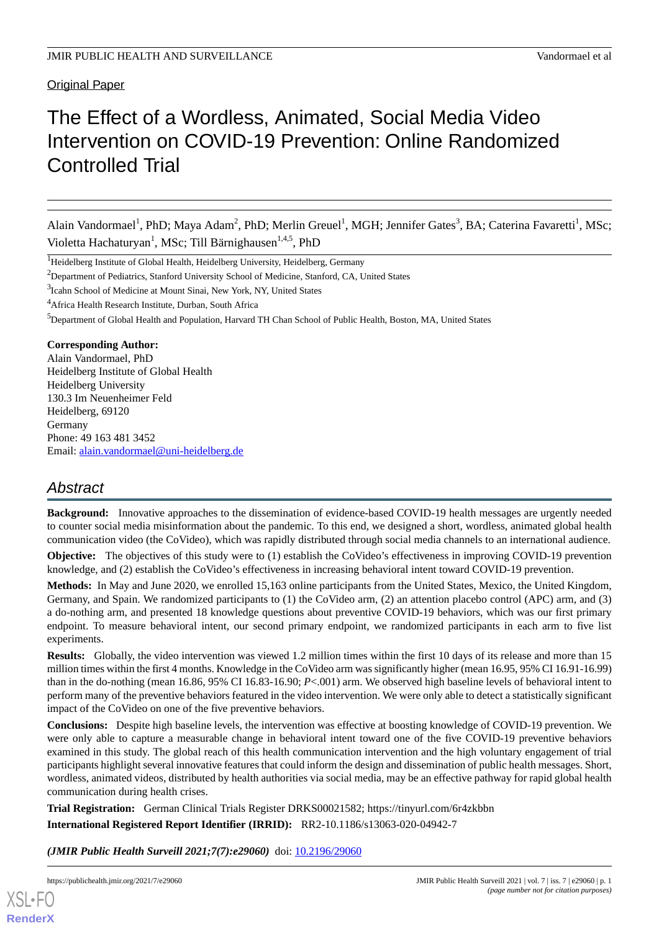Original Paper

# The Effect of a Wordless, Animated, Social Media Video Intervention on COVID-19 Prevention: Online Randomized Controlled Trial

Alain Vandormael<sup>1</sup>, PhD; Maya Adam<sup>2</sup>, PhD; Merlin Greuel<sup>1</sup>, MGH; Jennifer Gates<sup>3</sup>, BA; Caterina Favaretti<sup>1</sup>, MSc; Violetta Hachaturyan<sup>1</sup>, MSc; Till Bärnighausen<sup>1,4,5</sup>, PhD

<sup>1</sup>Heidelberg Institute of Global Health, Heidelberg University, Heidelberg, Germany

<sup>2</sup>Department of Pediatrics, Stanford University School of Medicine, Stanford, CA, United States

<sup>3</sup>Icahn School of Medicine at Mount Sinai, New York, NY, United States

<sup>4</sup> Africa Health Research Institute, Durban, South Africa

<sup>5</sup>Department of Global Health and Population, Harvard TH Chan School of Public Health, Boston, MA, United States

### **Corresponding Author:**

Alain Vandormael, PhD Heidelberg Institute of Global Health Heidelberg University 130.3 Im Neuenheimer Feld Heidelberg, 69120 Germany Phone: 49 163 481 3452 Email: [alain.vandormael@uni-heidelberg.de](mailto:alain.vandormael@uni-heidelberg.de)

## *Abstract*

**Background:** Innovative approaches to the dissemination of evidence-based COVID-19 health messages are urgently needed to counter social media misinformation about the pandemic. To this end, we designed a short, wordless, animated global health communication video (the CoVideo), which was rapidly distributed through social media channels to an international audience.

**Objective:** The objectives of this study were to (1) establish the CoVideo's effectiveness in improving COVID-19 prevention knowledge, and (2) establish the CoVideo's effectiveness in increasing behavioral intent toward COVID-19 prevention.

**Methods:** In May and June 2020, we enrolled 15,163 online participants from the United States, Mexico, the United Kingdom, Germany, and Spain. We randomized participants to (1) the CoVideo arm, (2) an attention placebo control (APC) arm, and (3) a do-nothing arm, and presented 18 knowledge questions about preventive COVID-19 behaviors, which was our first primary endpoint. To measure behavioral intent, our second primary endpoint, we randomized participants in each arm to five list experiments.

**Results:** Globally, the video intervention was viewed 1.2 million times within the first 10 days of its release and more than 15 million times within the first 4 months. Knowledge in the CoVideo arm was significantly higher (mean 16.95, 95% CI 16.91-16.99) than in the do-nothing (mean 16.86, 95% CI 16.83-16.90; *P*<.001) arm. We observed high baseline levels of behavioral intent to perform many of the preventive behaviors featured in the video intervention. We were only able to detect a statistically significant impact of the CoVideo on one of the five preventive behaviors.

**Conclusions:** Despite high baseline levels, the intervention was effective at boosting knowledge of COVID-19 prevention. We were only able to capture a measurable change in behavioral intent toward one of the five COVID-19 preventive behaviors examined in this study. The global reach of this health communication intervention and the high voluntary engagement of trial participants highlight several innovative features that could inform the design and dissemination of public health messages. Short, wordless, animated videos, distributed by health authorities via social media, may be an effective pathway for rapid global health communication during health crises.

**Trial Registration:** German Clinical Trials Register DRKS00021582; https://tinyurl.com/6r4zkbbn **International Registered Report Identifier (IRRID):** RR2-10.1186/s13063-020-04942-7

*(JMIR Public Health Surveill 2021;7(7):e29060)* doi: [10.2196/29060](http://dx.doi.org/10.2196/29060)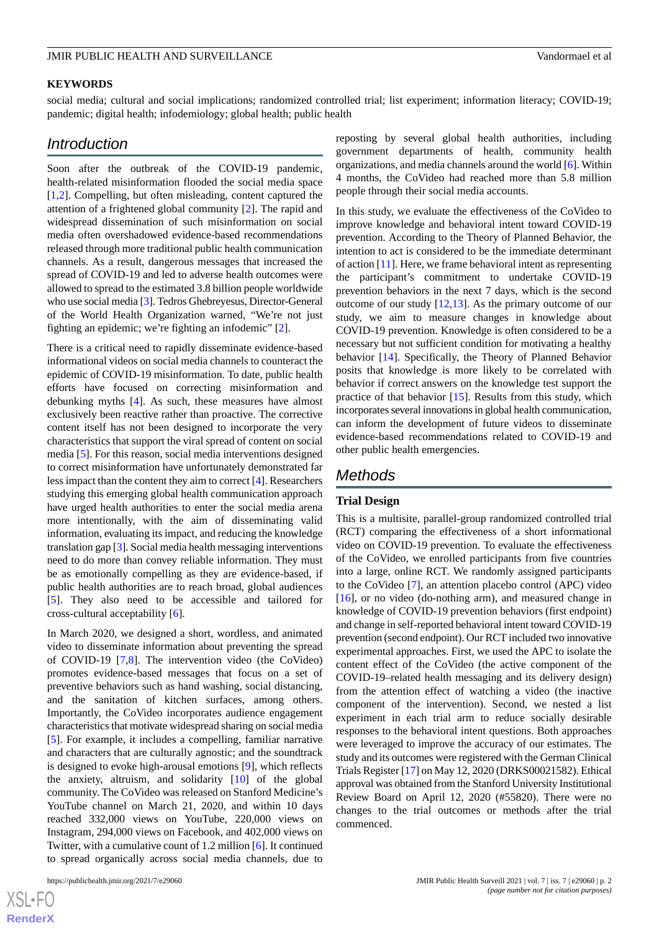## **KEYWORDS**

social media; cultural and social implications; randomized controlled trial; list experiment; information literacy; COVID-19; pandemic; digital health; infodemiology; global health; public health

## *Introduction*

Soon after the outbreak of the COVID-19 pandemic, health-related misinformation flooded the social media space [[1](#page-9-0)[,2](#page-9-1)]. Compelling, but often misleading, content captured the attention of a frightened global community [[2\]](#page-9-1). The rapid and widespread dissemination of such misinformation on social media often overshadowed evidence-based recommendations released through more traditional public health communication channels. As a result, dangerous messages that increased the spread of COVID-19 and led to adverse health outcomes were allowed to spread to the estimated 3.8 billion people worldwide who use social media [[3\]](#page-9-2). Tedros Ghebreyesus, Director-General of the World Health Organization warned, "We're not just fighting an epidemic; we're fighting an infodemic" [[2\]](#page-9-1).

There is a critical need to rapidly disseminate evidence-based informational videos on social media channels to counteract the epidemic of COVID-19 misinformation. To date, public health efforts have focused on correcting misinformation and debunking myths [[4\]](#page-9-3). As such, these measures have almost exclusively been reactive rather than proactive. The corrective content itself has not been designed to incorporate the very characteristics that support the viral spread of content on social media [[5\]](#page-9-4). For this reason, social media interventions designed to correct misinformation have unfortunately demonstrated far less impact than the content they aim to correct [\[4\]](#page-9-3). Researchers studying this emerging global health communication approach have urged health authorities to enter the social media arena more intentionally, with the aim of disseminating valid information, evaluating its impact, and reducing the knowledge translation gap [\[3](#page-9-2)]. Social media health messaging interventions need to do more than convey reliable information. They must be as emotionally compelling as they are evidence-based, if public health authorities are to reach broad, global audiences [[5\]](#page-9-4). They also need to be accessible and tailored for cross-cultural acceptability [\[6](#page-9-5)].

In March 2020, we designed a short, wordless, and animated video to disseminate information about preventing the spread of COVID-19 [\[7,](#page-9-6)[8\]](#page-9-7). The intervention video (the CoVideo) promotes evidence-based messages that focus on a set of preventive behaviors such as hand washing, social distancing, and the sanitation of kitchen surfaces, among others. Importantly, the CoVideo incorporates audience engagement characteristics that motivate widespread sharing on social media [[5\]](#page-9-4). For example, it includes a compelling, familiar narrative and characters that are culturally agnostic; and the soundtrack is designed to evoke high-arousal emotions [[9\]](#page-9-8), which reflects the anxiety, altruism, and solidarity [[10\]](#page-9-9) of the global community. The CoVideo was released on Stanford Medicine's YouTube channel on March 21, 2020, and within 10 days reached 332,000 views on YouTube, 220,000 views on Instagram, 294,000 views on Facebook, and 402,000 views on Twitter, with a cumulative count of 1.2 million [\[6](#page-9-5)]. It continued to spread organically across social media channels, due to

 $XSJ \cdot F$ **[RenderX](http://www.renderx.com/)** reposting by several global health authorities, including government departments of health, community health organizations, and media channels around the world [[6\]](#page-9-5). Within 4 months, the CoVideo had reached more than 5.8 million people through their social media accounts.

In this study, we evaluate the effectiveness of the CoVideo to improve knowledge and behavioral intent toward COVID-19 prevention. According to the Theory of Planned Behavior, the intention to act is considered to be the immediate determinant of action [[11\]](#page-9-10). Here, we frame behavioral intent as representing the participant's commitment to undertake COVID-19 prevention behaviors in the next 7 days, which is the second outcome of our study [\[12](#page-9-11),[13\]](#page-9-12). As the primary outcome of our study, we aim to measure changes in knowledge about COVID-19 prevention. Knowledge is often considered to be a necessary but not sufficient condition for motivating a healthy behavior [[14\]](#page-9-13). Specifically, the Theory of Planned Behavior posits that knowledge is more likely to be correlated with behavior if correct answers on the knowledge test support the practice of that behavior [[15\]](#page-10-0). Results from this study, which incorporates several innovations in global health communication, can inform the development of future videos to disseminate evidence-based recommendations related to COVID-19 and other public health emergencies.

## *Methods*

### **Trial Design**

This is a multisite, parallel-group randomized controlled trial (RCT) comparing the effectiveness of a short informational video on COVID-19 prevention. To evaluate the effectiveness of the CoVideo, we enrolled participants from five countries into a large, online RCT. We randomly assigned participants to the CoVideo [[7\]](#page-9-6), an attention placebo control (APC) video [[16\]](#page-10-1), or no video (do-nothing arm), and measured change in knowledge of COVID-19 prevention behaviors (first endpoint) and change in self-reported behavioral intent toward COVID-19 prevention (second endpoint). Our RCT included two innovative experimental approaches. First, we used the APC to isolate the content effect of the CoVideo (the active component of the COVID-19–related health messaging and its delivery design) from the attention effect of watching a video (the inactive component of the intervention). Second, we nested a list experiment in each trial arm to reduce socially desirable responses to the behavioral intent questions. Both approaches were leveraged to improve the accuracy of our estimates. The study and its outcomes were registered with the German Clinical Trials Register [[17\]](#page-10-2) on May 12, 2020 (DRKS00021582). Ethical approval was obtained from the Stanford University Institutional Review Board on April 12, 2020 (#55820). There were no changes to the trial outcomes or methods after the trial commenced.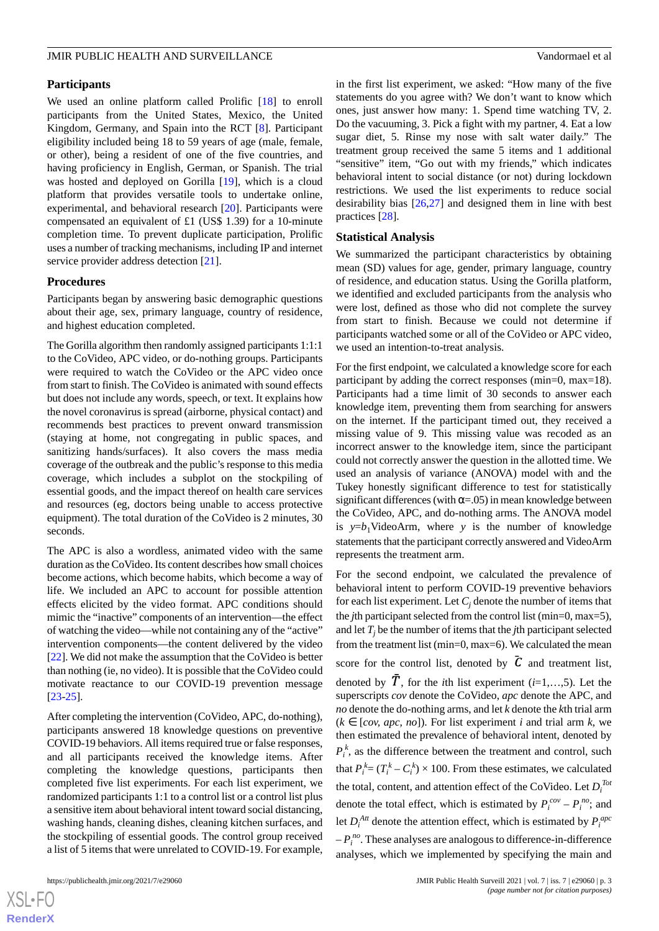## **Participants**

We used an online platform called Prolific [[18\]](#page-10-3) to enroll participants from the United States, Mexico, the United Kingdom, Germany, and Spain into the RCT [\[8](#page-9-7)]. Participant eligibility included being 18 to 59 years of age (male, female, or other), being a resident of one of the five countries, and having proficiency in English, German, or Spanish. The trial was hosted and deployed on Gorilla [[19\]](#page-10-4), which is a cloud platform that provides versatile tools to undertake online, experimental, and behavioral research [[20\]](#page-10-5). Participants were compensated an equivalent of £1 (US\$ 1.39) for a 10-minute completion time. To prevent duplicate participation, Prolific uses a number of tracking mechanisms, including IP and internet service provider address detection [[21\]](#page-10-6).

### **Procedures**

Participants began by answering basic demographic questions about their age, sex, primary language, country of residence, and highest education completed.

The Gorilla algorithm then randomly assigned participants 1:1:1 to the CoVideo, APC video, or do-nothing groups. Participants were required to watch the CoVideo or the APC video once from start to finish. The CoVideo is animated with sound effects but does not include any words, speech, or text. It explains how the novel coronavirus is spread (airborne, physical contact) and recommends best practices to prevent onward transmission (staying at home, not congregating in public spaces, and sanitizing hands/surfaces). It also covers the mass media coverage of the outbreak and the public's response to this media coverage, which includes a subplot on the stockpiling of essential goods, and the impact thereof on health care services and resources (eg, doctors being unable to access protective equipment). The total duration of the CoVideo is 2 minutes, 30 seconds.

The APC is also a wordless, animated video with the same duration as the CoVideo. Its content describes how small choices become actions, which become habits, which become a way of life. We included an APC to account for possible attention effects elicited by the video format. APC conditions should mimic the "inactive" components of an intervention—the effect of watching the video—while not containing any of the "active" intervention components—the content delivered by the video [[22\]](#page-10-7). We did not make the assumption that the CoVideo is better than nothing (ie, no video). It is possible that the CoVideo could motivate reactance to our COVID-19 prevention message [[23](#page-10-8)[-25](#page-10-9)].

After completing the intervention (CoVideo, APC, do-nothing), participants answered 18 knowledge questions on preventive COVID-19 behaviors. All items required true or false responses, and all participants received the knowledge items. After completing the knowledge questions, participants then completed five list experiments. For each list experiment, we randomized participants 1:1 to a control list or a control list plus a sensitive item about behavioral intent toward social distancing, washing hands, cleaning dishes, cleaning kitchen surfaces, and the stockpiling of essential goods. The control group received a list of 5 items that were unrelated to COVID-19. For example,

in the first list experiment, we asked: "How many of the five statements do you agree with? We don't want to know which ones, just answer how many: 1. Spend time watching TV, 2. Do the vacuuming, 3. Pick a fight with my partner, 4. Eat a low sugar diet, 5. Rinse my nose with salt water daily." The treatment group received the same 5 items and 1 additional "sensitive" item, "Go out with my friends," which indicates behavioral intent to social distance (or not) during lockdown restrictions. We used the list experiments to reduce social desirability bias [\[26](#page-10-10),[27\]](#page-10-11) and designed them in line with best practices [\[28](#page-10-12)].

## **Statistical Analysis**

We summarized the participant characteristics by obtaining mean (SD) values for age, gender, primary language, country of residence, and education status. Using the Gorilla platform, we identified and excluded participants from the analysis who were lost, defined as those who did not complete the survey from start to finish. Because we could not determine if participants watched some or all of the CoVideo or APC video, we used an intention-to-treat analysis.

For the first endpoint, we calculated a knowledge score for each participant by adding the correct responses (min=0, max=18). Participants had a time limit of 30 seconds to answer each knowledge item, preventing them from searching for answers on the internet. If the participant timed out, they received a missing value of 9. This missing value was recoded as an incorrect answer to the knowledge item, since the participant could not correctly answer the question in the allotted time. We used an analysis of variance (ANOVA) model with and the Tukey honestly significant difference to test for statistically significant differences (with  $\alpha$ =.05) in mean knowledge between the CoVideo, APC, and do-nothing arms. The ANOVA model is  $y=b_1$ VideoArm, where *y* is the number of knowledge statements that the participant correctly answered and VideoArm represents the treatment arm.

For the second endpoint, we calculated the prevalence of behavioral intent to perform COVID-19 preventive behaviors for each list experiment. Let  $C_j$  denote the number of items that the *j*th participant selected from the control list (min=0, max=5), and let  $T_i$  be the number of items that the *j*th participant selected from the treatment list (min=0, max=6). We calculated the mean score for the control list, denoted by  $\bar{C}$  and treatment list, denoted by  $\overline{T}$ , for the *i*th list experiment (*i*=1,...,5). Let the superscripts *cov* denote the CoVideo, *apc* denote the APC, and *no* denote the do-nothing arms, and let *k* denote the *k*th trial arm  $(k \in [cov, apc, no]$ ). For list experiment *i* and trial arm *k*, we then estimated the prevalence of behavioral intent, denoted by  $P_i^k$ , as the difference between the treatment and control, such that  $P_i^k = (T_i^k - C_i^k) \times 100$ . From these estimates, we calculated the total, content, and attention effect of the CoVideo. Let  $D_i^{To}$ denote the total effect, which is estimated by  $P_i^{cov} - P_i^{no}$ ; and let  $D_i^{Art}$  denote the attention effect, which is estimated by  $P_i^{apc}$  $-P_i^{no}$ . These analyses are analogous to difference-in-difference analyses, which we implemented by specifying the main and

```
XSI - F(RenderX
```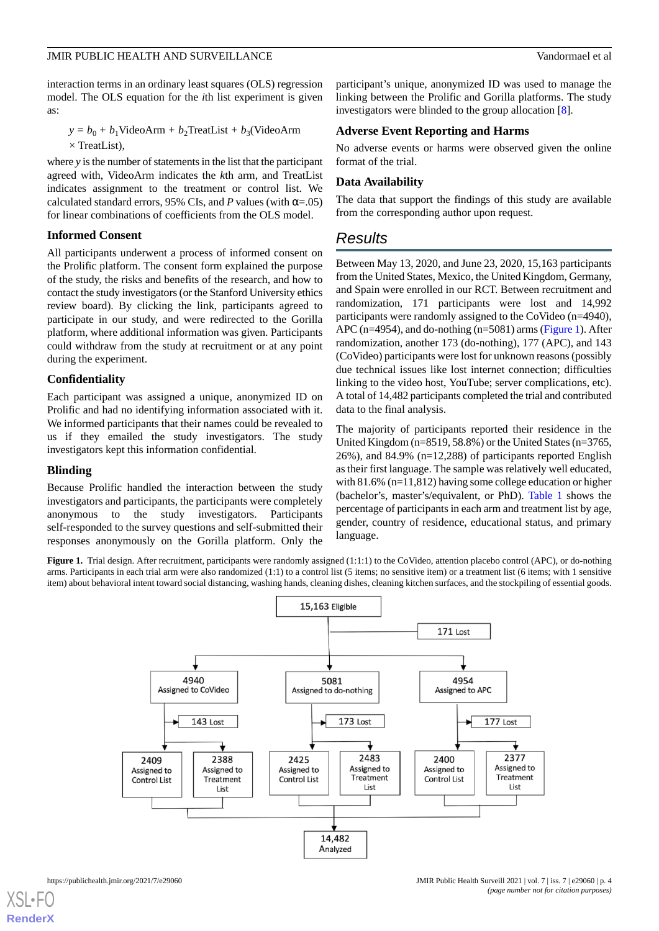interaction terms in an ordinary least squares (OLS) regression model. The OLS equation for the *i*th list experiment is given as:

 $y = b_0 + b_1$ VideoArm +  $b_2$ TreatList +  $b_3$ (VideoArm  $\times$  TreatList),

where *y* is the number of statements in the list that the participant agreed with, VideoArm indicates the *k*th arm, and TreatList indicates assignment to the treatment or control list. We calculated standard errors, 95% CIs, and *P* values (with  $\alpha$ =.05) for linear combinations of coefficients from the OLS model.

## **Informed Consent**

All participants underwent a process of informed consent on the Prolific platform. The consent form explained the purpose of the study, the risks and benefits of the research, and how to contact the study investigators (or the Stanford University ethics review board). By clicking the link, participants agreed to participate in our study, and were redirected to the Gorilla platform, where additional information was given. Participants could withdraw from the study at recruitment or at any point during the experiment.

## **Confidentiality**

Each participant was assigned a unique, anonymized ID on Prolific and had no identifying information associated with it. We informed participants that their names could be revealed to us if they emailed the study investigators. The study investigators kept this information confidential.

## **Blinding**

<span id="page-3-0"></span>Because Prolific handled the interaction between the study investigators and participants, the participants were completely anonymous to the study investigators. Participants self-responded to the survey questions and self-submitted their responses anonymously on the Gorilla platform. Only the

participant's unique, anonymized ID was used to manage the linking between the Prolific and Gorilla platforms. The study investigators were blinded to the group allocation [\[8](#page-9-7)].

## **Adverse Event Reporting and Harms**

No adverse events or harms were observed given the online format of the trial.

## **Data Availability**

The data that support the findings of this study are available from the corresponding author upon request.

## *Results*

Between May 13, 2020, and June 23, 2020, 15,163 participants from the United States, Mexico, the United Kingdom, Germany, and Spain were enrolled in our RCT. Between recruitment and randomization, 171 participants were lost and 14,992 participants were randomly assigned to the CoVideo (n=4940), APC (n=4954), and do-nothing (n=5081) arms [\(Figure 1](#page-3-0)). After randomization, another 173 (do-nothing), 177 (APC), and 143 (CoVideo) participants were lost for unknown reasons (possibly due technical issues like lost internet connection; difficulties linking to the video host, YouTube; server complications, etc). A total of 14,482 participants completed the trial and contributed data to the final analysis.

The majority of participants reported their residence in the United Kingdom (n=8519, 58.8%) or the United States (n=3765, 26%), and 84.9% (n=12,288) of participants reported English as their first language. The sample was relatively well educated, with 81.6% (n=11,812) having some college education or higher (bachelor's, master's/equivalent, or PhD). [Table 1](#page-4-0) shows the percentage of participants in each arm and treatment list by age, gender, country of residence, educational status, and primary language.

Figure 1. Trial design. After recruitment, participants were randomly assigned (1:1:1) to the CoVideo, attention placebo control (APC), or do-nothing arms. Participants in each trial arm were also randomized (1:1) to a control list (5 items; no sensitive item) or a treatment list (6 items; with 1 sensitive item) about behavioral intent toward social distancing, washing hands, cleaning dishes, cleaning kitchen surfaces, and the stockpiling of essential goods.

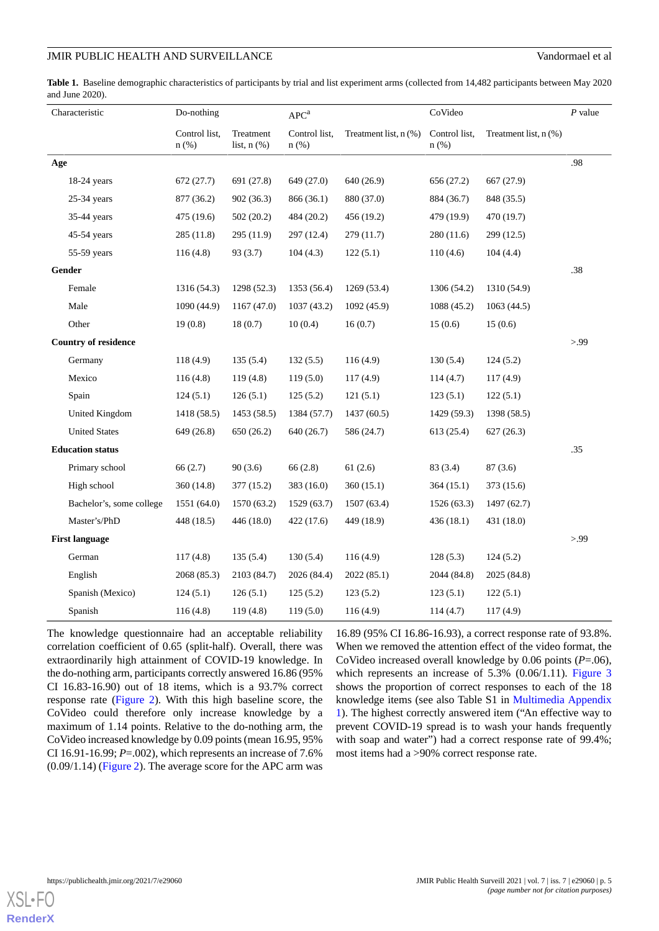<span id="page-4-0"></span>**Table 1.** Baseline demographic characteristics of participants by trial and list experiment arms (collected from 14,482 participants between May 2020 and June 2020).

| Characteristic              |                          | Do-nothing               |                               | APC <sup>a</sup>         |                       | CoVideo                  |                       | $P$ value |
|-----------------------------|--------------------------|--------------------------|-------------------------------|--------------------------|-----------------------|--------------------------|-----------------------|-----------|
|                             |                          | Control list,<br>$n$ (%) | Treatment<br>list, $n$ $(\%)$ | Control list,<br>$n$ (%) | Treatment list, n (%) | Control list,<br>$n$ (%) | Treatment list, n (%) |           |
| Age                         |                          |                          |                               |                          |                       |                          |                       | .98       |
|                             | 18-24 years              | 672 (27.7)               | 691 (27.8)                    | 649 (27.0)               | 640 (26.9)            | 656 (27.2)               | 667 (27.9)            |           |
|                             | $25-34$ years            | 877 (36.2)               | 902 (36.3)                    | 866 (36.1)               | 880 (37.0)            | 884 (36.7)               | 848 (35.5)            |           |
|                             | $35-44$ years            | 475 (19.6)               | 502 (20.2)                    | 484 (20.2)               | 456 (19.2)            | 479 (19.9)               | 470 (19.7)            |           |
|                             | 45-54 years              | 285(11.8)                | 295 (11.9)                    | 297 (12.4)               | 279 (11.7)            | 280 (11.6)               | 299 (12.5)            |           |
|                             | 55-59 years              | 116(4.8)                 | 93 (3.7)                      | 104(4.3)                 | 122(5.1)              | 110(4.6)                 | 104(4.4)              |           |
| Gender                      |                          |                          |                               |                          |                       |                          |                       | .38       |
|                             | Female                   | 1316 (54.3)              | 1298 (52.3)                   | 1353 (56.4)              | 1269 (53.4)           | 1306 (54.2)              | 1310 (54.9)           |           |
|                             | Male                     | 1090 (44.9)              | 1167(47.0)                    | 1037 (43.2)              | 1092 (45.9)           | 1088 (45.2)              | 1063(44.5)            |           |
|                             | Other                    | 19(0.8)                  | 18(0.7)                       | 10(0.4)                  | 16(0.7)               | 15(0.6)                  | 15(0.6)               |           |
| <b>Country of residence</b> |                          |                          |                               |                          |                       |                          |                       | > 99      |
|                             | Germany                  | 118(4.9)                 | 135(5.4)                      | 132(5.5)                 | 116(4.9)              | 130(5.4)                 | 124(5.2)              |           |
|                             | Mexico                   | 116(4.8)                 | 119(4.8)                      | 119(5.0)                 | 117(4.9)              | 114(4.7)                 | 117(4.9)              |           |
|                             | Spain                    | 124(5.1)                 | 126(5.1)                      | 125(5.2)                 | 121(5.1)              | 123(5.1)                 | 122(5.1)              |           |
|                             | United Kingdom           | 1418 (58.5)              | 1453 (58.5)                   | 1384 (57.7)              | 1437(60.5)            | 1429 (59.3)              | 1398 (58.5)           |           |
|                             | <b>United States</b>     | 649 (26.8)               | 650 (26.2)                    | 640 (26.7)               | 586 (24.7)            | 613 (25.4)               | 627(26.3)             |           |
| <b>Education status</b>     |                          |                          |                               |                          |                       |                          |                       | .35       |
|                             | Primary school           | 66 (2.7)                 | 90(3.6)                       | 66(2.8)                  | 61(2.6)               | 83 (3.4)                 | 87(3.6)               |           |
|                             | High school              | 360 (14.8)               | 377 (15.2)                    | 383 (16.0)               | 360(15.1)             | 364(15.1)                | 373 (15.6)            |           |
|                             | Bachelor's, some college | 1551 (64.0)              | 1570 (63.2)                   | 1529 (63.7)              | 1507 (63.4)           | 1526 (63.3)              | 1497 (62.7)           |           |
|                             | Master's/PhD             | 448 (18.5)               | 446 (18.0)                    | 422 (17.6)               | 449 (18.9)            | 436(18.1)                | 431 (18.0)            |           |
| <b>First language</b>       |                          |                          |                               |                          |                       |                          |                       | > 99      |
|                             | German                   | 117(4.8)                 | 135(5.4)                      | 130(5.4)                 | 116(4.9)              | 128(5.3)                 | 124(5.2)              |           |
|                             | English                  | 2068 (85.3)              | 2103 (84.7)                   | 2026 (84.4)              | 2022(85.1)            | 2044 (84.8)              | 2025 (84.8)           |           |
|                             | Spanish (Mexico)         | 124(5.1)                 | 126(5.1)                      | 125(5.2)                 | 123(5.2)              | 123(5.1)                 | 122(5.1)              |           |
|                             | Spanish                  | 116(4.8)                 | 119(4.8)                      | 119(5.0)                 | 116(4.9)              | 114(4.7)                 | 117(4.9)              |           |

The knowledge questionnaire had an acceptable reliability correlation coefficient of 0.65 (split-half). Overall, there was extraordinarily high attainment of COVID-19 knowledge. In the do-nothing arm, participants correctly answered 16.86 (95% CI 16.83-16.90) out of 18 items, which is a 93.7% correct response rate [\(Figure 2\)](#page-5-0). With this high baseline score, the CoVideo could therefore only increase knowledge by a maximum of 1.14 points. Relative to the do-nothing arm, the CoVideo increased knowledge by 0.09 points (mean 16.95, 95% CI 16.91-16.99; *P*=.002), which represents an increase of 7.6% (0.09/1.14) ([Figure 2\)](#page-5-0). The average score for the APC arm was

16.89 (95% CI 16.86-16.93), a correct response rate of 93.8%. When we removed the attention effect of the video format, the CoVideo increased overall knowledge by 0.06 points (*P*=.06), which represents an increase of 5.3% (0.06/1.11). [Figure 3](#page-6-0) shows the proportion of correct responses to each of the 18 knowledge items (see also Table S1 in [Multimedia Appendix](#page-9-14) [1\)](#page-9-14). The highest correctly answered item ("An effective way to prevent COVID-19 spread is to wash your hands frequently with soap and water") had a correct response rate of 99.4%; most items had a >90% correct response rate.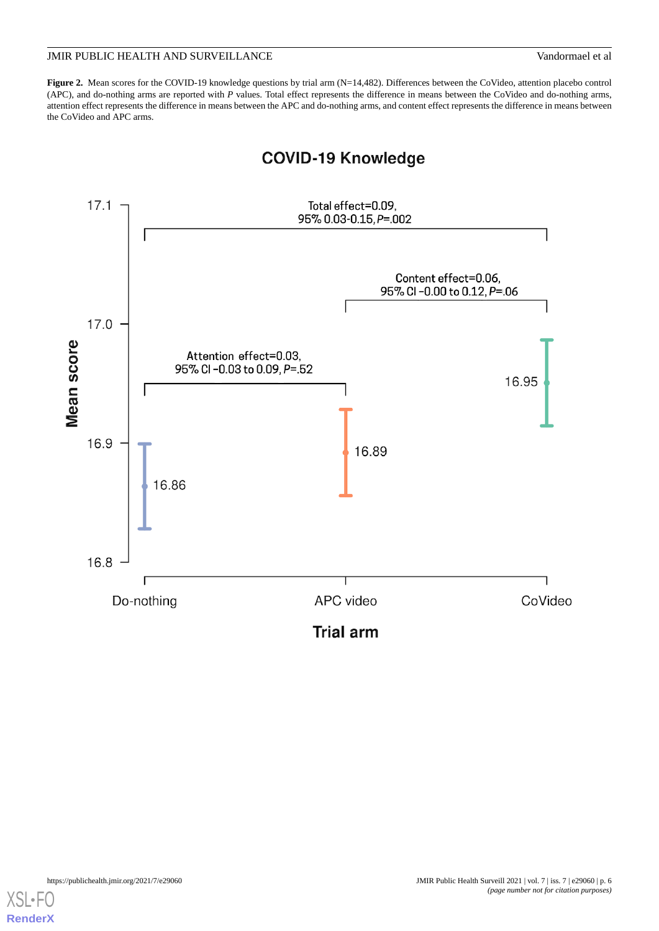<span id="page-5-0"></span>Figure 2. Mean scores for the COVID-19 knowledge questions by trial arm (N=14,482). Differences between the CoVideo, attention placebo control (APC), and do-nothing arms are reported with *P* values. Total effect represents the difference in means between the CoVideo and do-nothing arms, attention effect represents the difference in means between the APC and do-nothing arms, and content effect represents the difference in means between the CoVideo and APC arms.



## **COVID-19 Knowledge**

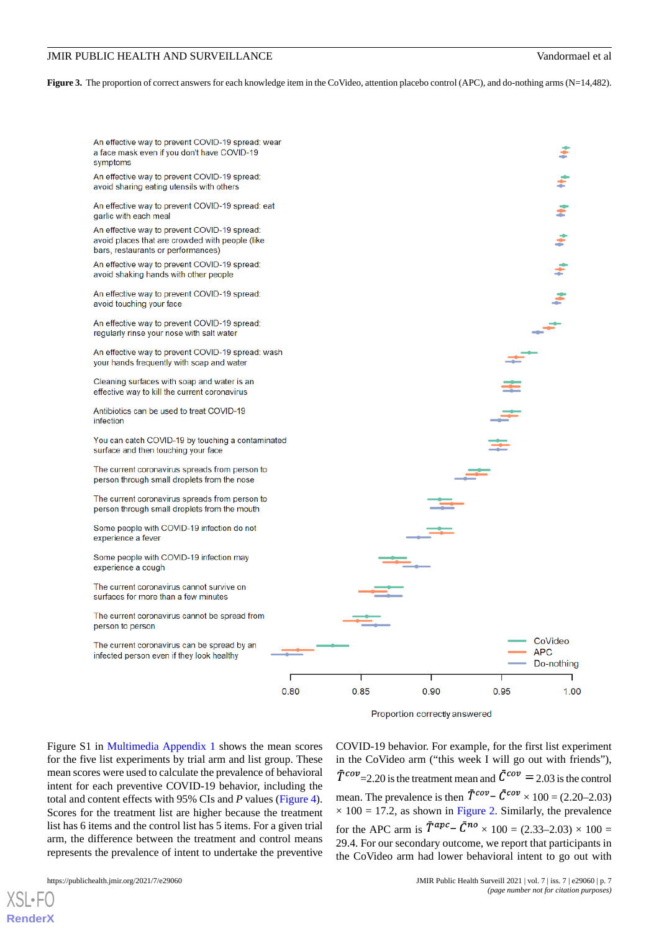<span id="page-6-0"></span>**Figure 3.** The proportion of correct answers for each knowledge item in the CoVideo, attention placebo control (APC), and do-nothing arms (N=14,482).





Figure S1 in [Multimedia Appendix 1](#page-9-14) shows the mean scores for the five list experiments by trial arm and list group. These mean scores were used to calculate the prevalence of behavioral intent for each preventive COVID-19 behavior, including the total and content effects with 95% CIs and *P* values [\(Figure 4\)](#page-7-0). Scores for the treatment list are higher because the treatment list has 6 items and the control list has 5 items. For a given trial arm, the difference between the treatment and control means represents the prevalence of intent to undertake the preventive

[XSL](http://www.w3.org/Style/XSL)•FO **[RenderX](http://www.renderx.com/)**

 $\bar{T}^{cov}$  = 2.20 is the treatment mean and  $\bar{C}^{cov}$  = 2.03 is the control mean. The prevalence is then  $\overline{T}^{cov} - \overline{C}^{cov} \times 100 = (2.20-2.03)$  $\times$  100 = 17.2, as shown in [Figure 2](#page-5-0). Similarly, the prevalence for the APC arm is  $\bar{T}^{apc} - \bar{C}^{no} \times 100 = (2.33 - 2.03) \times 100 =$ 29.4. For our secondary outcome, we report that participants in the CoVideo arm had lower behavioral intent to go out with

COVID-19 behavior. For example, for the first list experiment in the CoVideo arm ("this week I will go out with friends"),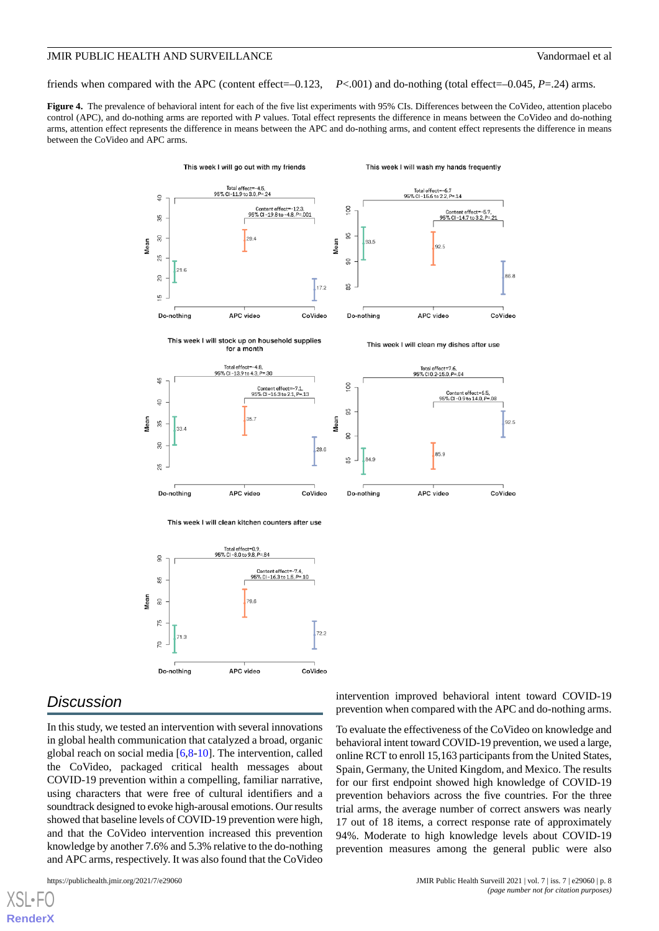friends when compared with the APC (content effect=–0.123, *P*<.001) and do-nothing (total effect=–0.045, *P*=.24) arms.

<span id="page-7-0"></span>**Figure 4.** The prevalence of behavioral intent for each of the five list experiments with 95% CIs. Differences between the CoVideo, attention placebo control (APC), and do-nothing arms are reported with *P* values. Total effect represents the difference in means between the CoVideo and do-nothing arms, attention effect represents the difference in means between the APC and do-nothing arms, and content effect represents the difference in means between the CoVideo and APC arms.



## *Discussion*

In this study, we tested an intervention with several innovations in global health communication that catalyzed a broad, organic global reach on social media [\[6,](#page-9-5)[8](#page-9-7)[-10](#page-9-9)]. The intervention, called the CoVideo, packaged critical health messages about COVID-19 prevention within a compelling, familiar narrative, using characters that were free of cultural identifiers and a soundtrack designed to evoke high-arousal emotions. Our results showed that baseline levels of COVID-19 prevention were high, and that the CoVideo intervention increased this prevention knowledge by another 7.6% and 5.3% relative to the do-nothing and APC arms, respectively. It was also found that the CoVideo

[XSL](http://www.w3.org/Style/XSL)•FO **[RenderX](http://www.renderx.com/)**

intervention improved behavioral intent toward COVID-19 prevention when compared with the APC and do-nothing arms.

To evaluate the effectiveness of the CoVideo on knowledge and behavioral intent toward COVID-19 prevention, we used a large, online RCT to enroll 15,163 participants from the United States, Spain, Germany, the United Kingdom, and Mexico. The results for our first endpoint showed high knowledge of COVID-19 prevention behaviors across the five countries. For the three trial arms, the average number of correct answers was nearly 17 out of 18 items, a correct response rate of approximately 94%. Moderate to high knowledge levels about COVID-19 prevention measures among the general public were also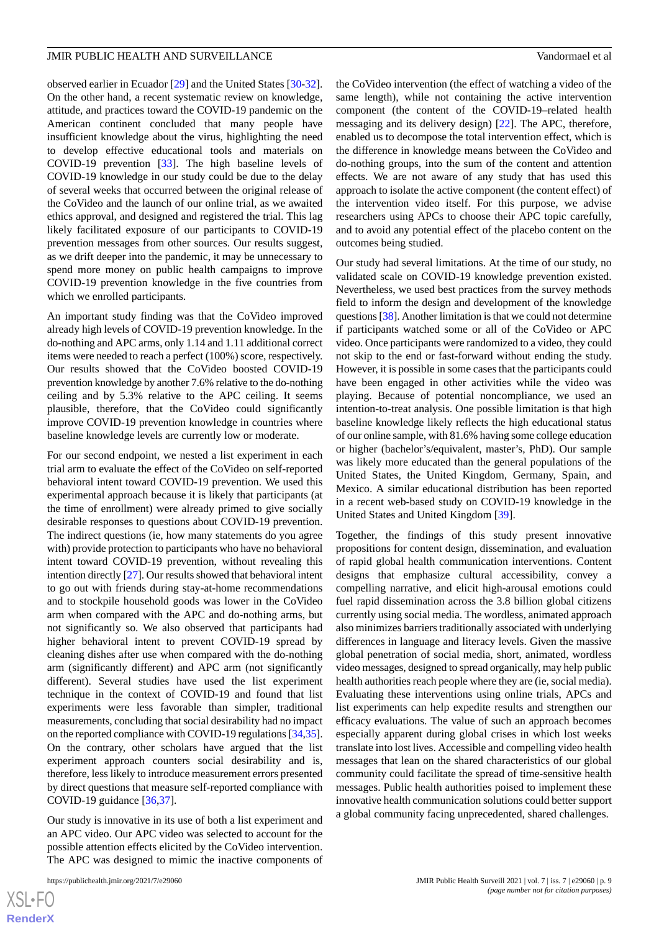observed earlier in Ecuador [\[29](#page-10-13)] and the United States [\[30](#page-10-14)-[32\]](#page-10-15). On the other hand, a recent systematic review on knowledge, attitude, and practices toward the COVID-19 pandemic on the American continent concluded that many people have insufficient knowledge about the virus, highlighting the need to develop effective educational tools and materials on COVID-19 prevention [[33\]](#page-10-16). The high baseline levels of COVID-19 knowledge in our study could be due to the delay of several weeks that occurred between the original release of the CoVideo and the launch of our online trial, as we awaited ethics approval, and designed and registered the trial. This lag likely facilitated exposure of our participants to COVID-19 prevention messages from other sources. Our results suggest, as we drift deeper into the pandemic, it may be unnecessary to spend more money on public health campaigns to improve COVID-19 prevention knowledge in the five countries from which we enrolled participants.

An important study finding was that the CoVideo improved already high levels of COVID-19 prevention knowledge. In the do-nothing and APC arms, only 1.14 and 1.11 additional correct items were needed to reach a perfect (100%) score, respectively. Our results showed that the CoVideo boosted COVID-19 prevention knowledge by another 7.6% relative to the do-nothing ceiling and by 5.3% relative to the APC ceiling. It seems plausible, therefore, that the CoVideo could significantly improve COVID-19 prevention knowledge in countries where baseline knowledge levels are currently low or moderate.

For our second endpoint, we nested a list experiment in each trial arm to evaluate the effect of the CoVideo on self-reported behavioral intent toward COVID-19 prevention. We used this experimental approach because it is likely that participants (at the time of enrollment) were already primed to give socially desirable responses to questions about COVID-19 prevention. The indirect questions (ie, how many statements do you agree with) provide protection to participants who have no behavioral intent toward COVID-19 prevention, without revealing this intention directly [[27\]](#page-10-11). Our results showed that behavioral intent to go out with friends during stay-at-home recommendations and to stockpile household goods was lower in the CoVideo arm when compared with the APC and do-nothing arms, but not significantly so. We also observed that participants had higher behavioral intent to prevent COVID-19 spread by cleaning dishes after use when compared with the do-nothing arm (significantly different) and APC arm (not significantly different). Several studies have used the list experiment technique in the context of COVID-19 and found that list experiments were less favorable than simpler, traditional measurements, concluding that social desirability had no impact on the reported compliance with COVID-19 regulations [[34,](#page-10-17)[35\]](#page-10-18). On the contrary, other scholars have argued that the list experiment approach counters social desirability and is, therefore, less likely to introduce measurement errors presented by direct questions that measure self-reported compliance with COVID-19 guidance [\[36](#page-10-19),[37\]](#page-10-20).

Our study is innovative in its use of both a list experiment and an APC video. Our APC video was selected to account for the possible attention effects elicited by the CoVideo intervention. The APC was designed to mimic the inactive components of

[XSL](http://www.w3.org/Style/XSL)•FO **[RenderX](http://www.renderx.com/)** the CoVideo intervention (the effect of watching a video of the same length), while not containing the active intervention component (the content of the COVID-19–related health messaging and its delivery design) [\[22](#page-10-7)]. The APC, therefore, enabled us to decompose the total intervention effect, which is the difference in knowledge means between the CoVideo and do-nothing groups, into the sum of the content and attention effects. We are not aware of any study that has used this approach to isolate the active component (the content effect) of the intervention video itself. For this purpose, we advise researchers using APCs to choose their APC topic carefully, and to avoid any potential effect of the placebo content on the outcomes being studied.

Our study had several limitations. At the time of our study, no validated scale on COVID-19 knowledge prevention existed. Nevertheless, we used best practices from the survey methods field to inform the design and development of the knowledge questions [[38\]](#page-10-21). Another limitation is that we could not determine if participants watched some or all of the CoVideo or APC video. Once participants were randomized to a video, they could not skip to the end or fast-forward without ending the study. However, it is possible in some cases that the participants could have been engaged in other activities while the video was playing. Because of potential noncompliance, we used an intention-to-treat analysis. One possible limitation is that high baseline knowledge likely reflects the high educational status of our online sample, with 81.6% having some college education or higher (bachelor's/equivalent, master's, PhD). Our sample was likely more educated than the general populations of the United States, the United Kingdom, Germany, Spain, and Mexico. A similar educational distribution has been reported in a recent web-based study on COVID-19 knowledge in the United States and United Kingdom [\[39](#page-11-0)].

Together, the findings of this study present innovative propositions for content design, dissemination, and evaluation of rapid global health communication interventions. Content designs that emphasize cultural accessibility, convey a compelling narrative, and elicit high-arousal emotions could fuel rapid dissemination across the 3.8 billion global citizens currently using social media. The wordless, animated approach also minimizes barriers traditionally associated with underlying differences in language and literacy levels. Given the massive global penetration of social media, short, animated, wordless video messages, designed to spread organically, may help public health authorities reach people where they are (ie, social media). Evaluating these interventions using online trials, APCs and list experiments can help expedite results and strengthen our efficacy evaluations. The value of such an approach becomes especially apparent during global crises in which lost weeks translate into lost lives. Accessible and compelling video health messages that lean on the shared characteristics of our global community could facilitate the spread of time-sensitive health messages. Public health authorities poised to implement these innovative health communication solutions could better support a global community facing unprecedented, shared challenges.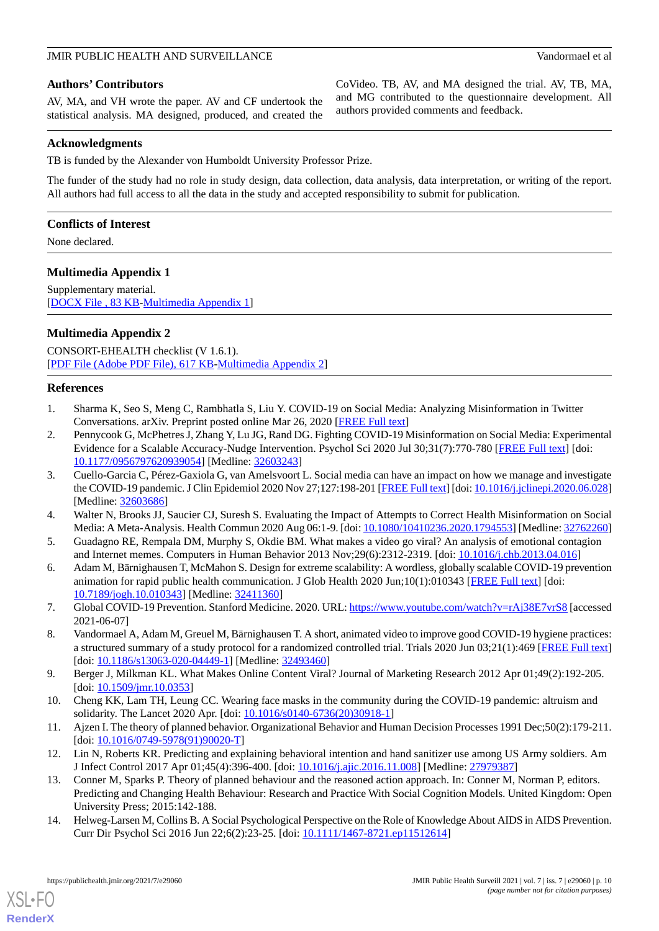## **Authors' Contributors**

AV, MA, and VH wrote the paper. AV and CF undertook the statistical analysis. MA designed, produced, and created the CoVideo. TB, AV, and MA designed the trial. AV, TB, MA, and MG contributed to the questionnaire development. All authors provided comments and feedback.

## **Acknowledgments**

TB is funded by the Alexander von Humboldt University Professor Prize.

The funder of the study had no role in study design, data collection, data analysis, data interpretation, or writing of the report. All authors had full access to all the data in the study and accepted responsibility to submit for publication.

## **Conflicts of Interest**

<span id="page-9-14"></span>None declared.

## **Multimedia Appendix 1**

Supplementary material. [[DOCX File , 83 KB](https://jmir.org/api/download?alt_name=publichealth_v7i7e29060_app1.docx&filename=2bc17dd676dc4bd3e7bc0f50a8c6b2b3.docx)-[Multimedia Appendix 1\]](https://jmir.org/api/download?alt_name=publichealth_v7i7e29060_app1.docx&filename=2bc17dd676dc4bd3e7bc0f50a8c6b2b3.docx)

## **Multimedia Appendix 2**

<span id="page-9-0"></span>CONSORT-EHEALTH checklist (V 1.6.1). [[PDF File \(Adobe PDF File\), 617 KB](https://jmir.org/api/download?alt_name=publichealth_v7i7e29060_app2.pdf&filename=d6a22f99d7fcefd4ac063287eb681c11.pdf)-[Multimedia Appendix 2\]](https://jmir.org/api/download?alt_name=publichealth_v7i7e29060_app2.pdf&filename=d6a22f99d7fcefd4ac063287eb681c11.pdf)

## <span id="page-9-1"></span>**References**

- 1. Sharma K, Seo S, Meng C, Rambhatla S, Liu Y. COVID-19 on Social Media: Analyzing Misinformation in Twitter Conversations. arXiv. Preprint posted online Mar 26, 2020 [[FREE Full text](https://arxiv.org/abs/2003.12309)]
- <span id="page-9-2"></span>2. Pennycook G, McPhetres J, Zhang Y, Lu JG, Rand DG. Fighting COVID-19 Misinformation on Social Media: Experimental Evidence for a Scalable Accuracy-Nudge Intervention. Psychol Sci 2020 Jul 30;31(7):770-780 [[FREE Full text](https://journals.sagepub.com/doi/10.1177/0956797620939054?url_ver=Z39.88-2003&rfr_id=ori:rid:crossref.org&rfr_dat=cr_pub%3dpubmed)] [doi: [10.1177/0956797620939054\]](http://dx.doi.org/10.1177/0956797620939054) [Medline: [32603243\]](http://www.ncbi.nlm.nih.gov/entrez/query.fcgi?cmd=Retrieve&db=PubMed&list_uids=32603243&dopt=Abstract)
- <span id="page-9-4"></span><span id="page-9-3"></span>3. Cuello-Garcia C, Pérez-Gaxiola G, van Amelsvoort L. Social media can have an impact on how we manage and investigate the COVID-19 pandemic. J Clin Epidemiol 2020 Nov 27;127:198-201 [[FREE Full text](http://europepmc.org/abstract/MED/32603686)] [doi: [10.1016/j.jclinepi.2020.06.028\]](http://dx.doi.org/10.1016/j.jclinepi.2020.06.028) [Medline: [32603686](http://www.ncbi.nlm.nih.gov/entrez/query.fcgi?cmd=Retrieve&db=PubMed&list_uids=32603686&dopt=Abstract)]
- <span id="page-9-5"></span>4. Walter N, Brooks JJ, Saucier CJ, Suresh S. Evaluating the Impact of Attempts to Correct Health Misinformation on Social Media: A Meta-Analysis. Health Commun 2020 Aug 06:1-9. [doi: [10.1080/10410236.2020.1794553](http://dx.doi.org/10.1080/10410236.2020.1794553)] [Medline: [32762260](http://www.ncbi.nlm.nih.gov/entrez/query.fcgi?cmd=Retrieve&db=PubMed&list_uids=32762260&dopt=Abstract)]
- <span id="page-9-6"></span>5. Guadagno RE, Rempala DM, Murphy S, Okdie BM. What makes a video go viral? An analysis of emotional contagion and Internet memes. Computers in Human Behavior 2013 Nov;29(6):2312-2319. [doi: [10.1016/j.chb.2013.04.016\]](http://dx.doi.org/10.1016/j.chb.2013.04.016)
- <span id="page-9-7"></span>6. Adam M, Bärnighausen T, McMahon S. Design for extreme scalability: A wordless, globally scalable COVID-19 prevention animation for rapid public health communication. J Glob Health 2020 Jun;10(1):010343 [\[FREE Full text\]](https://doi.org/10.7189/jogh.10.010343) [doi: [10.7189/jogh.10.010343\]](http://dx.doi.org/10.7189/jogh.10.010343) [Medline: [32411360](http://www.ncbi.nlm.nih.gov/entrez/query.fcgi?cmd=Retrieve&db=PubMed&list_uids=32411360&dopt=Abstract)]
- <span id="page-9-8"></span>7. Global COVID-19 Prevention. Stanford Medicine. 2020. URL:<https://www.youtube.com/watch?v=rAj38E7vrS8> [accessed 2021-06-07]
- <span id="page-9-9"></span>8. Vandormael A, Adam M, Greuel M, Bärnighausen T. A short, animated video to improve good COVID-19 hygiene practices: a structured summary of a study protocol for a randomized controlled trial. Trials 2020 Jun 03;21(1):469 [\[FREE Full text](https://trialsjournal.biomedcentral.com/articles/10.1186/s13063-020-04449-1)] [doi: [10.1186/s13063-020-04449-1](http://dx.doi.org/10.1186/s13063-020-04449-1)] [Medline: [32493460\]](http://www.ncbi.nlm.nih.gov/entrez/query.fcgi?cmd=Retrieve&db=PubMed&list_uids=32493460&dopt=Abstract)
- <span id="page-9-11"></span><span id="page-9-10"></span>9. Berger J, Milkman KL. What Makes Online Content Viral? Journal of Marketing Research 2012 Apr 01;49(2):192-205. [doi: [10.1509/jmr.10.0353\]](http://dx.doi.org/10.1509/jmr.10.0353)
- <span id="page-9-12"></span>10. Cheng KK, Lam TH, Leung CC. Wearing face masks in the community during the COVID-19 pandemic: altruism and solidarity. The Lancet 2020 Apr. [doi: [10.1016/s0140-6736\(20\)30918-1\]](http://dx.doi.org/10.1016/s0140-6736(20)30918-1)
- <span id="page-9-13"></span>11. Ajzen I. The theory of planned behavior. Organizational Behavior and Human Decision Processes 1991 Dec;50(2):179-211. [doi: [10.1016/0749-5978\(91\)90020-T\]](http://dx.doi.org/10.1016/0749-5978(91)90020-T)
- 12. Lin N, Roberts KR. Predicting and explaining behavioral intention and hand sanitizer use among US Army soldiers. Am J Infect Control 2017 Apr 01;45(4):396-400. [doi: [10.1016/j.ajic.2016.11.008\]](http://dx.doi.org/10.1016/j.ajic.2016.11.008) [Medline: [27979387](http://www.ncbi.nlm.nih.gov/entrez/query.fcgi?cmd=Retrieve&db=PubMed&list_uids=27979387&dopt=Abstract)]
- 13. Conner M, Sparks P. Theory of planned behaviour and the reasoned action approach. In: Conner M, Norman P, editors. Predicting and Changing Health Behaviour: Research and Practice With Social Cognition Models. United Kingdom: Open University Press; 2015:142-188.
- 14. Helweg-Larsen M, Collins B. A Social Psychological Perspective on the Role of Knowledge About AIDS in AIDS Prevention. Curr Dir Psychol Sci 2016 Jun 22;6(2):23-25. [doi: [10.1111/1467-8721.ep11512614](http://dx.doi.org/10.1111/1467-8721.ep11512614)]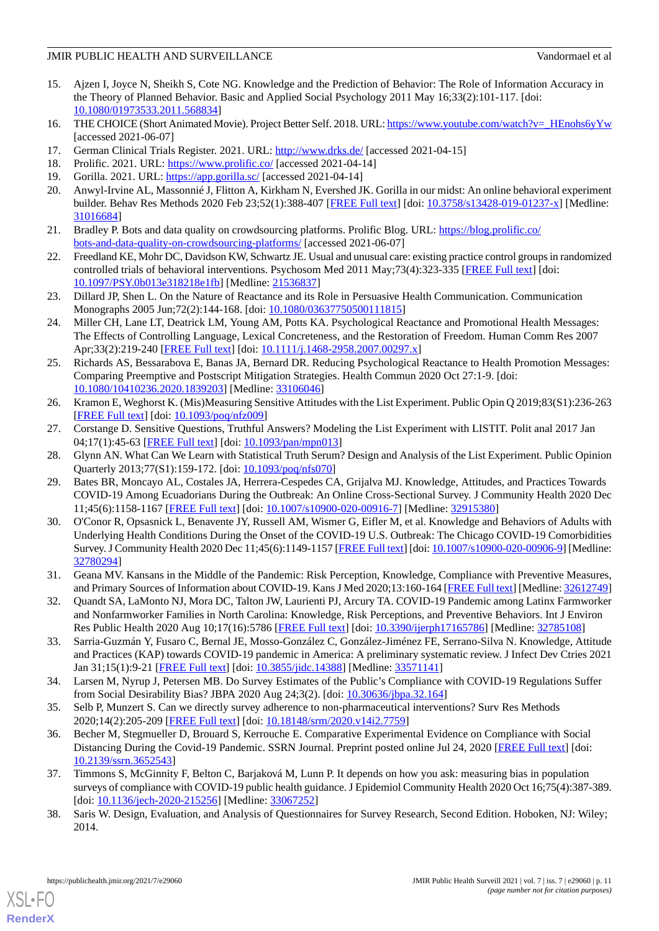- <span id="page-10-0"></span>15. Ajzen I, Joyce N, Sheikh S, Cote NG. Knowledge and the Prediction of Behavior: The Role of Information Accuracy in the Theory of Planned Behavior. Basic and Applied Social Psychology 2011 May 16;33(2):101-117. [doi: [10.1080/01973533.2011.568834\]](http://dx.doi.org/10.1080/01973533.2011.568834)
- <span id="page-10-2"></span><span id="page-10-1"></span>16. THE CHOICE (Short Animated Movie). Project Better Self. 2018. URL: [https://www.youtube.com/watch?v=\\_HEnohs6yYw](https://www.youtube.com/watch?v=_HEnohs6yYw) [accessed 2021-06-07]
- <span id="page-10-3"></span>17. German Clinical Trials Register. 2021. URL: <http://www.drks.de/> [accessed 2021-04-15]
- <span id="page-10-4"></span>18. Prolific. 2021. URL: <https://www.prolific.co/> [accessed 2021-04-14]
- <span id="page-10-5"></span>19. Gorilla. 2021. URL:<https://app.gorilla.sc/> [accessed 2021-04-14]
- <span id="page-10-6"></span>20. Anwyl-Irvine AL, Massonnié J, Flitton A, Kirkham N, Evershed JK. Gorilla in our midst: An online behavioral experiment builder. Behav Res Methods 2020 Feb 23;52(1):388-407 [\[FREE Full text\]](http://europepmc.org/abstract/MED/31016684) [doi: [10.3758/s13428-019-01237-x](http://dx.doi.org/10.3758/s13428-019-01237-x)] [Medline: [31016684](http://www.ncbi.nlm.nih.gov/entrez/query.fcgi?cmd=Retrieve&db=PubMed&list_uids=31016684&dopt=Abstract)]
- <span id="page-10-7"></span>21. Bradley P. Bots and data quality on crowdsourcing platforms. Prolific Blog. URL: [https://blog.prolific.co/](https://blog.prolific.co/bots-and-data-quality-on-crowdsourcing-platforms/) [bots-and-data-quality-on-crowdsourcing-platforms/](https://blog.prolific.co/bots-and-data-quality-on-crowdsourcing-platforms/) [accessed 2021-06-07]
- <span id="page-10-8"></span>22. Freedland KE, Mohr DC, Davidson KW, Schwartz JE. Usual and unusual care: existing practice control groups in randomized controlled trials of behavioral interventions. Psychosom Med 2011 May;73(4):323-335 [[FREE Full text](http://europepmc.org/abstract/MED/21536837)] [doi: [10.1097/PSY.0b013e318218e1fb\]](http://dx.doi.org/10.1097/PSY.0b013e318218e1fb) [Medline: [21536837](http://www.ncbi.nlm.nih.gov/entrez/query.fcgi?cmd=Retrieve&db=PubMed&list_uids=21536837&dopt=Abstract)]
- 23. Dillard JP, Shen L. On the Nature of Reactance and its Role in Persuasive Health Communication. Communication Monographs 2005 Jun;72(2):144-168. [doi: [10.1080/03637750500111815](http://dx.doi.org/10.1080/03637750500111815)]
- <span id="page-10-9"></span>24. Miller CH, Lane LT, Deatrick LM, Young AM, Potts KA. Psychological Reactance and Promotional Health Messages: The Effects of Controlling Language, Lexical Concreteness, and the Restoration of Freedom. Human Comm Res 2007 Apr;33(2):219-240 [\[FREE Full text\]](https://academic.oup.com/hcr/article/33/2/219-240/4210793) [doi: [10.1111/j.1468-2958.2007.00297.x\]](http://dx.doi.org/10.1111/j.1468-2958.2007.00297.x)
- <span id="page-10-10"></span>25. Richards AS, Bessarabova E, Banas JA, Bernard DR. Reducing Psychological Reactance to Health Promotion Messages: Comparing Preemptive and Postscript Mitigation Strategies. Health Commun 2020 Oct 27:1-9. [doi: [10.1080/10410236.2020.1839203\]](http://dx.doi.org/10.1080/10410236.2020.1839203) [Medline: [33106046\]](http://www.ncbi.nlm.nih.gov/entrez/query.fcgi?cmd=Retrieve&db=PubMed&list_uids=33106046&dopt=Abstract)
- <span id="page-10-12"></span><span id="page-10-11"></span>26. Kramon E, Weghorst K. (Mis)Measuring Sensitive Attitudes with the List Experiment. Public Opin Q 2019;83(S1):236-263 [[FREE Full text](https://watermark.silverchair.com/nfz009.pdf?token=AQECAHi208BE49Ooan9kkhW_Ercy7Dm3ZL_9Cf3qfKAc485ysgAAAr0wggK5BgkqhkiG9w0BBwagggKqMIICpgIBADCCAp8GCSqGSIb3DQEHATAeBglghkgBZQMEAS4wEQQMsIjZh3E0eWQOAOVxAgEQgIICcBFnIEb3BdL2RayW4jYZtg1ZXEcdmwYhM93rRFvrE21kZNE19o1lTIk3srgrr3W1KJlLicYRzT9iQTZtYqmEv7hxsRJFTthTGsNOmpi0UMMMW9SEcWiZ_g468nrS2AFLdNLtvz4NUZ7gk2oKQlQcIXIMYz9nes5bm-BaOxsohTsqFxdfWhHfo6LQ68PFMLblV-myf1mUvX2DAKPLcEVg5UeKMk5De4MDPeMdSERGmB4xYwqjr4FxPJQYIxdPwpr9p_O4zdtttqvvFVgNt1_r-a-0veMCMbE9l7JLFLj7Hx4qZ15JK1uHSymHjhWQQBGLuAN7ErcoXnQzB8WyshCni5L6Qwk4Ln4tfyS5LWbVsuN9WRKn3ujAAr8rlAaGsFxpdrWJdNIq8LW11qVrnP9V7GpMgIgR3AQp8K69qE6AFAxpQegw8Xdphbw0I65BnRxJXVb7jcGCYnM2WWxrDbiBv_Pn2YatDwwlmRqoJ65Q-ajmUNeRnJlDblU_n_LMjmfY0Q6W84DhugQDfI6pJ0EpPiqYFSJU0_AQzN9yK5c6487U47eoQw_UeVxnT5lwKhbjNi2cSw6OeyrOH99ccveLBF7KkHssDs6FviE3rYah2A0jevH8I3RLpZWFC8UlneDCgmDdXoeP7tzdSQxB8bzZR93FvAqea0YtTrVcoVnKmE9dbPHdmEQnmInp4h9rzR3C76OzJa_cTjIoZGWp-rZgkH4S2dro0NQkv4xR02sk7jGGWZNA_7xTX967MY3czFV6BJm5O0VKGhRmPemW30xVEn-wOWfgLZVTBxoE_zO4ST4Is_8hb4ecbP3VHjyDim0k2Q)] [doi: [10.1093/poq/nfz009](http://dx.doi.org/10.1093/poq/nfz009)]
- <span id="page-10-13"></span>27. Corstange D. Sensitive Questions, Truthful Answers? Modeling the List Experiment with LISTIT. Polit anal 2017 Jan 04;17(1):45-63 [[FREE Full text](https://www.cambridge.org/core/product/identifier/)] [doi: [10.1093/pan/mpn013\]](http://dx.doi.org/10.1093/pan/mpn013)
- 28. Glynn AN. What Can We Learn with Statistical Truth Serum? Design and Analysis of the List Experiment. Public Opinion Quarterly 2013;77(S1):159-172. [doi: [10.1093/poq/nfs070](http://dx.doi.org/10.1093/poq/nfs070)]
- <span id="page-10-14"></span>29. Bates BR, Moncayo AL, Costales JA, Herrera-Cespedes CA, Grijalva MJ. Knowledge, Attitudes, and Practices Towards COVID-19 Among Ecuadorians During the Outbreak: An Online Cross-Sectional Survey. J Community Health 2020 Dec 11;45(6):1158-1167 [[FREE Full text](http://europepmc.org/abstract/MED/32915380)] [doi: [10.1007/s10900-020-00916-7\]](http://dx.doi.org/10.1007/s10900-020-00916-7) [Medline: [32915380\]](http://www.ncbi.nlm.nih.gov/entrez/query.fcgi?cmd=Retrieve&db=PubMed&list_uids=32915380&dopt=Abstract)
- <span id="page-10-15"></span>30. O'Conor R, Opsasnick L, Benavente JY, Russell AM, Wismer G, Eifler M, et al. Knowledge and Behaviors of Adults with Underlying Health Conditions During the Onset of the COVID-19 U.S. Outbreak: The Chicago COVID-19 Comorbidities Survey. J Community Health 2020 Dec 11;45(6):1149-1157 [\[FREE Full text\]](http://europepmc.org/abstract/MED/32780294) [doi: [10.1007/s10900-020-00906-9](http://dx.doi.org/10.1007/s10900-020-00906-9)] [Medline: [32780294](http://www.ncbi.nlm.nih.gov/entrez/query.fcgi?cmd=Retrieve&db=PubMed&list_uids=32780294&dopt=Abstract)]
- <span id="page-10-16"></span>31. Geana MV. Kansans in the Middle of the Pandemic: Risk Perception, Knowledge, Compliance with Preventive Measures, and Primary Sources of Information about COVID-19. Kans J Med 2020;13:160-164 [\[FREE Full text](http://europepmc.org/abstract/MED/32612749)] [Medline: [32612749\]](http://www.ncbi.nlm.nih.gov/entrez/query.fcgi?cmd=Retrieve&db=PubMed&list_uids=32612749&dopt=Abstract)
- <span id="page-10-17"></span>32. Quandt SA, LaMonto NJ, Mora DC, Talton JW, Laurienti PJ, Arcury TA. COVID-19 Pandemic among Latinx Farmworker and Nonfarmworker Families in North Carolina: Knowledge, Risk Perceptions, and Preventive Behaviors. Int J Environ Res Public Health 2020 Aug 10;17(16):5786 [[FREE Full text\]](https://www.mdpi.com/resolver?pii=ijerph17165786) [doi: [10.3390/ijerph17165786\]](http://dx.doi.org/10.3390/ijerph17165786) [Medline: [32785108\]](http://www.ncbi.nlm.nih.gov/entrez/query.fcgi?cmd=Retrieve&db=PubMed&list_uids=32785108&dopt=Abstract)
- <span id="page-10-18"></span>33. Sarria-Guzmán Y, Fusaro C, Bernal JE, Mosso-González C, González-Jiménez FE, Serrano-Silva N. Knowledge, Attitude and Practices (KAP) towards COVID-19 pandemic in America: A preliminary systematic review. J Infect Dev Ctries 2021 Jan 31;15(1):9-21 [[FREE Full text](http://www.jidc.org/index.php/journal/article/view/33571141)] [doi: [10.3855/jidc.14388](http://dx.doi.org/10.3855/jidc.14388)] [Medline: [33571141\]](http://www.ncbi.nlm.nih.gov/entrez/query.fcgi?cmd=Retrieve&db=PubMed&list_uids=33571141&dopt=Abstract)
- <span id="page-10-19"></span>34. Larsen M, Nyrup J, Petersen MB. Do Survey Estimates of the Public's Compliance with COVID-19 Regulations Suffer from Social Desirability Bias? JBPA 2020 Aug 24;3(2). [doi: [10.30636/jbpa.32.164\]](http://dx.doi.org/10.30636/jbpa.32.164)
- <span id="page-10-20"></span>35. Selb P, Munzert S. Can we directly survey adherence to non-pharmaceutical interventions? Surv Res Methods 2020;14(2):205-209 [[FREE Full text](https://ojs.ub.uni-konstanz.de/srm/article/view/7759)] [doi: [10.18148/srm/2020.v14i2.7759](http://dx.doi.org/10.18148/srm/2020.v14i2.7759)]
- <span id="page-10-21"></span>36. Becher M, Stegmueller D, Brouard S, Kerrouche E. Comparative Experimental Evidence on Compliance with Social Distancing During the Covid-19 Pandemic. SSRN Journal. Preprint posted online Jul 24, 2020 [\[FREE Full text](https://papers.ssrn.com/sol3/papers.cfm?abstract_id=3652543)] [doi: [10.2139/ssrn.3652543](http://dx.doi.org/10.2139/ssrn.3652543)]
- 37. Timmons S, McGinnity F, Belton C, Barjaková M, Lunn P. It depends on how you ask: measuring bias in population surveys of compliance with COVID-19 public health guidance. J Epidemiol Community Health 2020 Oct 16;75(4):387-389. [doi: [10.1136/jech-2020-215256](http://dx.doi.org/10.1136/jech-2020-215256)] [Medline: [33067252](http://www.ncbi.nlm.nih.gov/entrez/query.fcgi?cmd=Retrieve&db=PubMed&list_uids=33067252&dopt=Abstract)]
- 38. Saris W. Design, Evaluation, and Analysis of Questionnaires for Survey Research, Second Edition. Hoboken, NJ: Wiley; 2014.